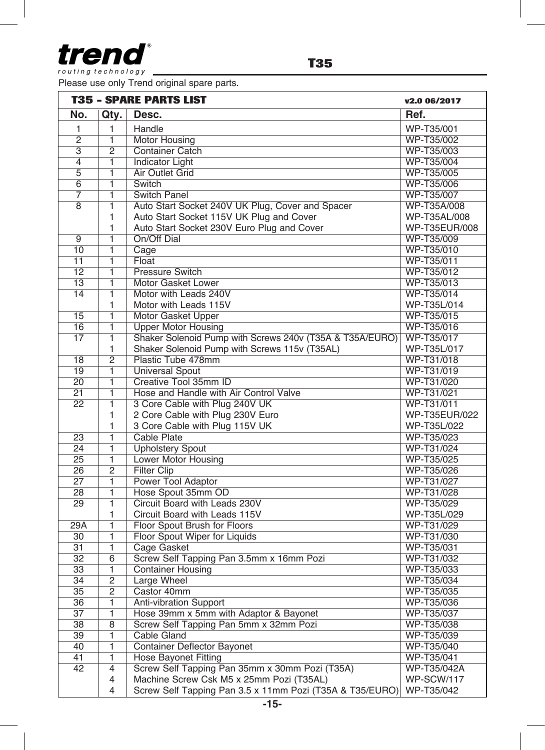

routing technology

Please use only Trend original spare parts.

| <b>T35 - SPARE PARTS LIST</b> |                |                                                                     | v2.0 06/2017  |
|-------------------------------|----------------|---------------------------------------------------------------------|---------------|
| No.                           | Qty.           | Desc.                                                               | Ref.          |
| 1                             | 1              | Handle                                                              | WP-T35/001    |
| $\overline{c}$                | 1              | Motor Housing                                                       | WP-T35/002    |
| 3                             | 2              | <b>Container Catch</b>                                              | WP-T35/003    |
| 4                             | 1              | <b>Indicator Light</b>                                              | WP-T35/004    |
| $\overline{5}$                | $\overline{1}$ | Air Outlet Grid                                                     | WP-T35/005    |
| 6                             | 1              | Switch                                                              | WP-T35/006    |
| 7                             | 1              | <b>Switch Panel</b>                                                 | WP-T35/007    |
| 8                             | $\overline{1}$ | Auto Start Socket 240V UK Plug, Cover and Spacer                    | WP-T35A/008   |
|                               | 1              | Auto Start Socket 115V UK Plug and Cover                            | WP-T35AL/008  |
|                               | 1              | Auto Start Socket 230V Euro Plug and Cover                          | WP-T35EUR/008 |
| $\overline{9}$                | ī              | On/Off Dial                                                         | WP-T35/009    |
| 10                            | $\overline{1}$ | Cage                                                                | WP-T35/010    |
| 11                            | 1              | Float                                                               | WP-T35/011    |
| 12                            | 1              | Pressure Switch                                                     | WP-T35/012    |
| 13                            | 1              | Motor Gasket Lower                                                  | WP-T35/013    |
| 14                            | $\overline{1}$ | Motor with Leads 240V                                               | WP-T35/014    |
|                               | 1              | Motor with Leads 115V                                               | WP-T35L/014   |
| 15                            | $\overline{1}$ | Motor Gasket Upper                                                  | WP-T35/015    |
| 16                            | 1              | <b>Upper Motor Housing</b>                                          | WP-T35/016    |
| 17                            | 1              | Shaker Solenoid Pump with Screws 240v (T35A & T35A/EURO)            | WP-T35/017    |
|                               | 1              | Shaker Solenoid Pump with Screws 115v (T35AL)                       | WP-T35L/017   |
| 18                            | $\overline{2}$ | Plastic Tube 478mm                                                  | WP-T31/018    |
| 19                            | 1              | <b>Universal Spout</b>                                              | WP-T31/019    |
| $\overline{20}$               | $\overline{1}$ | Creative Tool 35mm ID                                               | WP-T31/020    |
| 21                            | 1              | Hose and Handle with Air Control Valve                              | WP-T31/021    |
| $\overline{22}$               | $\overline{1}$ | 3 Core Cable with Plug 240V UK                                      | WP-T31/011    |
|                               | 1              | 2 Core Cable with Plug 230V Euro                                    | WP-T35EUR/022 |
|                               | 1              | 3 Core Cable with Plug 115V UK                                      | WP-T35L/022   |
| 23                            | 1              | <b>Cable Plate</b>                                                  | WP-T35/023    |
| 24                            | 1              | <b>Upholstery Spout</b>                                             | WP-T31/024    |
| 25                            | 1              | Lower Motor Housing                                                 | WP-T35/025    |
| 26                            | $\overline{2}$ | <b>Filter Clip</b>                                                  | WP-T35/026    |
| 27                            | 1              | Power Tool Adaptor                                                  | WP-T31/027    |
| 28                            | 1              | Hose Spout 35mm OD                                                  | WP-T31/028    |
| 29                            | $\overline{1}$ | Circuit Board with Leads 230V                                       | WP-T35/029    |
|                               | 1              | Circuit Board with Leads 115V                                       | WP-T35L/029   |
| 29A                           | ī              | Floor Spout Brush for Floors                                        | WP-T31/029    |
| 30                            | 1              | Floor Spout Wiper for Liquids                                       | WP-T31/030    |
| 31                            | 1              | Cage Gasket                                                         | WP-T35/031    |
| 32                            | 6              | Screw Self Tapping Pan 3.5mm x 16mm Pozi                            | WP-T31/032    |
| $\overline{33}$               | 1              | <b>Container Housing</b>                                            | WP-T35/033    |
| 34                            | $\overline{2}$ | Large Wheel                                                         | WP-T35/034    |
| 35                            | $\overline{2}$ | Castor 40mm                                                         | WP-T35/035    |
| 36                            | 1              | <b>Anti-vibration Support</b>                                       | WP-T35/036    |
| $\overline{37}$               | 1              | Hose 39mm x 5mm with Adaptor & Bayonet                              | WP-T35/037    |
| 38                            | $\overline{8}$ | Screw Self Tapping Pan 5mm x 32mm Pozi                              | WP-T35/038    |
| 39                            | $\overline{1}$ | Cable Gland                                                         | WP-T35/039    |
| 40                            | $\overline{1}$ | Container Deflector Bayonet                                         | WP-T35/040    |
| 41                            | $\overline{1}$ | <b>Hose Bayonet Fitting</b>                                         | WP-T35/041    |
| 42                            | $\overline{4}$ | Screw Self Tapping Pan 35mm x 30mm Pozi (T35A)                      | WP-T35/042A   |
|                               | 4              | Machine Screw Csk M5 x 25mm Pozi (T35AL)                            | WP-SCW/117    |
|                               | 4              | Screw Self Tapping Pan 3.5 x 11mm Pozi (T35A & T35/EURO) WP-T35/042 |               |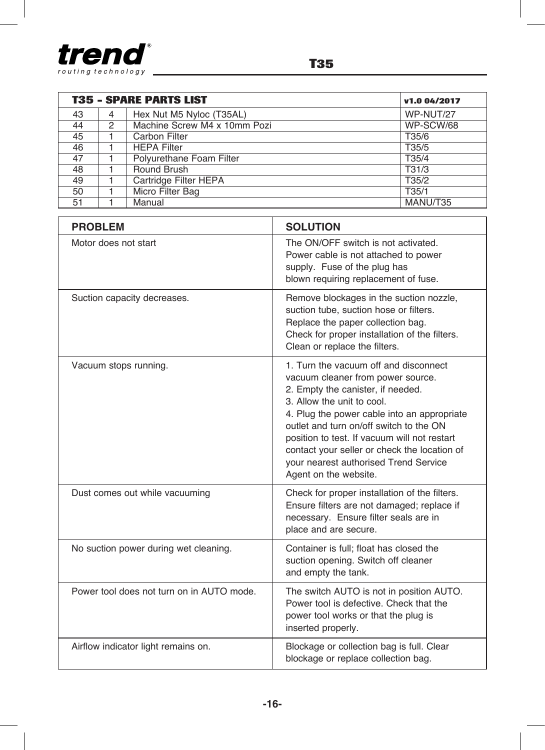

| <b>T35 - SPARE PARTS LIST</b><br>v1.0 04/2017 |   |                              |           |  |
|-----------------------------------------------|---|------------------------------|-----------|--|
| 43                                            | 4 | Hex Nut M5 Nyloc (T35AL)     | WP-NUT/27 |  |
| 44                                            | 2 | Machine Screw M4 x 10mm Pozi | WP-SCW/68 |  |
| 45                                            |   | Carbon Filter                | T35/6     |  |
| 46                                            |   | <b>HEPA Filter</b>           | T35/5     |  |
| 47                                            |   | Polyurethane Foam Filter     | T35/4     |  |
| 48                                            |   | Round Brush                  | T31/3     |  |
| 49                                            |   | Cartridge Filter HEPA        | T35/2     |  |
| 50                                            |   | Micro Filter Bag             | T35/1     |  |
| 51                                            |   | Manual                       | MANU/T35  |  |

| <b>PROBLEM</b>                            | <b>SOLUTION</b>                                                                                                                                                                                                                                                                                                                                                                                           |  |
|-------------------------------------------|-----------------------------------------------------------------------------------------------------------------------------------------------------------------------------------------------------------------------------------------------------------------------------------------------------------------------------------------------------------------------------------------------------------|--|
| Motor does not start                      | The ON/OFF switch is not activated.<br>Power cable is not attached to power<br>supply. Fuse of the plug has<br>blown requiring replacement of fuse.                                                                                                                                                                                                                                                       |  |
| Suction capacity decreases.               | Remove blockages in the suction nozzle,<br>suction tube, suction hose or filters.<br>Replace the paper collection bag.<br>Check for proper installation of the filters.<br>Clean or replace the filters.                                                                                                                                                                                                  |  |
| Vacuum stops running.                     | 1. Turn the vacuum off and disconnect<br>vacuum cleaner from power source.<br>2. Empty the canister, if needed.<br>3. Allow the unit to cool.<br>4. Plug the power cable into an appropriate<br>outlet and turn on/off switch to the ON<br>position to test. If vacuum will not restart<br>contact your seller or check the location of<br>your nearest authorised Trend Service<br>Agent on the website. |  |
| Dust comes out while vacuuming            | Check for proper installation of the filters.<br>Ensure filters are not damaged; replace if<br>necessary. Ensure filter seals are in<br>place and are secure.                                                                                                                                                                                                                                             |  |
| No suction power during wet cleaning.     | Container is full; float has closed the<br>suction opening. Switch off cleaner<br>and empty the tank.                                                                                                                                                                                                                                                                                                     |  |
| Power tool does not turn on in AUTO mode. | The switch AUTO is not in position AUTO.<br>Power tool is defective. Check that the<br>power tool works or that the plug is<br>inserted properly.                                                                                                                                                                                                                                                         |  |
| Airflow indicator light remains on.       | Blockage or collection bag is full. Clear<br>blockage or replace collection bag.                                                                                                                                                                                                                                                                                                                          |  |